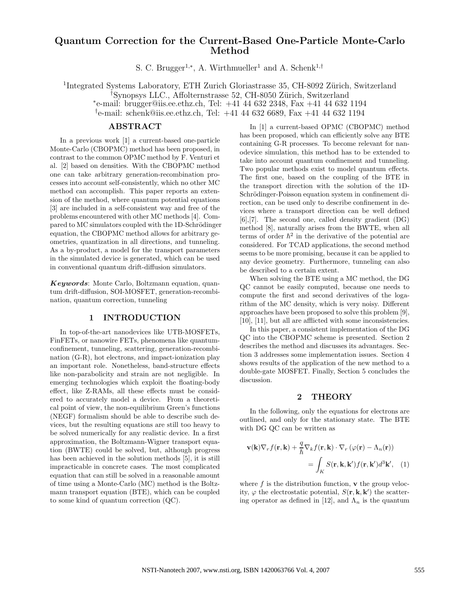# Quantum Correction for the Current-Based One-Particle Monte-Carlo Method

S. C. Brugger<sup>1,\*</sup>, A. Wirthmueller<sup>1</sup> and A. Schenk<sup>1,†</sup>

<sup>1</sup>Integrated Systems Laboratory, ETH Zurich Gloriastrasse 35, CH-8092 Zürich, Switzerland

<sup>†</sup>Synopsys LLC., Affolternstrasse 52, CH-8050 Zürich, Switzerland

∗ e-mail: brugger@iis.ee.ethz.ch, Tel: +41 44 632 2348, Fax +41 44 632 1194

† e-mail: schenk@iis.ee.ethz.ch, Tel: +41 44 632 6689, Fax +41 44 632 1194

## ABSTRACT

In a previous work [1] a current-based one-particle Monte-Carlo (CBOPMC) method has been proposed, in contrast to the common OPMC method by F. Venturi et al. [2] based on densities. With the CBOPMC method one can take arbitrary generation-recombination processes into account self-consistently, which no other MC method can accomplish. This paper reports an extension of the method, where quantum potential equations [3] are included in a self-consistent way and free of the problems encountered with other MC methods [4]. Compared to MC simulators coupled with the 1D-Schrödinger equation, the CBOPMC method allows for arbitrary geometries, quantization in all directions, and tunneling. As a by-product, a model for the transport parameters in the simulated device is generated, which can be used in conventional quantum drift-diffusion simulators.

Keywords: Monte Carlo, Boltzmann equation, quantum drift-diffusion, SOI-MOSFET, generation-recombination, quantum correction, tunneling

## 1 INTRODUCTION

In top-of-the-art nanodevices like UTB-MOSFETs, FinFETs, or nanowire FETs, phenomena like quantumconfinement, tunneling, scattering, generation-recombination (G-R), hot electrons, and impact-ionization play an important role. Nonetheless, band-structure effects like non-parabolicity and strain are not negligible. In emerging technologies which exploit the floating-body effect, like Z-RAMs, all these effects must be considered to accurately model a device. From a theoretical point of view, the non-equilibrium Green's functions (NEGF) formalism should be able to describe such devices, but the resulting equations are still too heavy to be solved numerically for any realistic device. In a first approximation, the Boltzmann-Wigner transport equation (BWTE) could be solved, but, although progress has been achieved in the solution methods [5], it is still impracticable in concrete cases. The most complicated equation that can still be solved in a reasonable amount of time using a Monte-Carlo (MC) method is the Boltzmann transport equation (BTE), which can be coupled to some kind of quantum correction (QC).

In [1] a current-based OPMC (CBOPMC) method has been proposed, which can efficiently solve any BTE containing G-R processes. To become relevant for nanodevice simulation, this method has to be extended to take into account quantum confinement and tunneling. Two popular methods exist to model quantum effects. The first one, based on the coupling of the BTE in the transport direction with the solution of the 1D-Schrödinger-Poisson equation system in confinement direction, can be used only to describe confinement in devices where a transport direction can be well defined [6],[7]. The second one, called density gradient (DG) method [8], naturally arises from the BWTE, when all terms of order  $\hbar^2$  in the derivative of the potential are considered. For TCAD applications, the second method seems to be more promising, because it can be applied to any device geometry. Furthermore, tunneling can also be described to a certain extent.

When solving the BTE using a MC method, the DG QC cannot be easily computed, because one needs to compute the first and second derivatives of the logarithm of the MC density, which is very noisy. Different approaches have been proposed to solve this problem [9], [10], [11], but all are afflicted with some inconsistencies.

In this paper, a consistent implementation of the DG QC into the CBOPMC scheme is presented. Section 2 describes the method and discusses its advantages. Section 3 addresses some implementation issues. Section 4 shows results of the application of the new method to a double-gate MOSFET. Finally, Section 5 concludes the discussion.

#### 2 THEORY

In the following, only the equations for electrons are outlined, and only for the stationary state. The BTE with DG QC can be written as

$$
\mathbf{v}(\mathbf{k})\nabla_r f(\mathbf{r}, \mathbf{k}) + \frac{q}{\hbar} \nabla_k f(\mathbf{r}, \mathbf{k}) \cdot \nabla_r (\varphi(\mathbf{r}) - \Lambda_n(\mathbf{r}))
$$
  
= 
$$
\int_K S(\mathbf{r}, \mathbf{k}, \mathbf{k'}) f(\mathbf{r}, \mathbf{k'}) d^3 \mathbf{k'}, \quad (1)
$$

where  $f$  is the distribution function,  $\bf{v}$  the group velocity,  $\varphi$  the electrostatic potential,  $S(\mathbf{r}, \mathbf{k}, \mathbf{k}')$  the scattering operator as defined in [12], and  $\Lambda_n$  is the quantum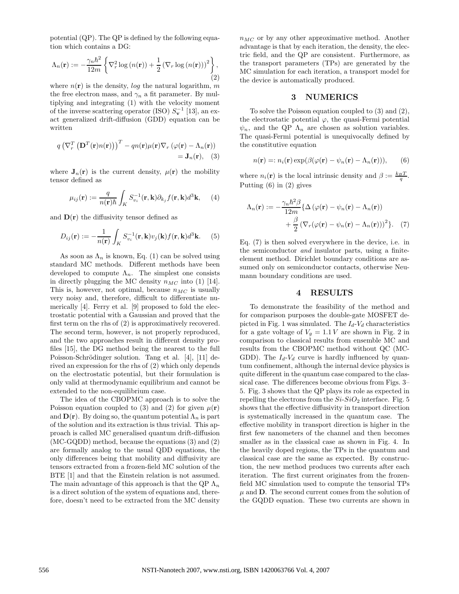potential (QP). The QP is defined by the following equation which contains a DG:

$$
\Lambda_n(\mathbf{r}) := -\frac{\gamma_n \hbar^2}{12m} \left\{ \nabla_r^2 \log \left( n(\mathbf{r}) \right) + \frac{1}{2} \left( \nabla_r \log \left( n(\mathbf{r}) \right) \right)^2 \right\},\tag{2}
$$

where  $n(\mathbf{r})$  is the density, log the natural logarithm, m the free electron mass, and  $\gamma_n$  a fit parameter. By multiplying and integrating (1) with the velocity moment of the inverse scattering operator (ISO)  $S_{\mathbf{v}}^{-1}$  [13], an exact generalized drift-diffusion (GDD) equation can be written

$$
q\left(\nabla_r^T\left(\mathbf{D}^T(\mathbf{r})n(\mathbf{r})\right)\right)^T - qn(\mathbf{r})\mu(\mathbf{r})\nabla_r\left(\varphi(\mathbf{r}) - \Lambda_n(\mathbf{r})\right) \\
= \mathbf{J}_n(\mathbf{r}), \quad (3)
$$

where  $J_n(r)$  is the current density,  $\mu(r)$  the mobility tensor defined as

$$
\mu_{ij}(\mathbf{r}) := \frac{q}{n(\mathbf{r})\hbar} \int_K S_{v_i}^{-1}(\mathbf{r}, \mathbf{k}) \partial_{k_j} f(\mathbf{r}, \mathbf{k}) d^3 \mathbf{k}, \qquad (4)
$$

and  $\mathbf{D}(\mathbf{r})$  the diffusivity tensor defined as

$$
D_{ij}(\mathbf{r}) := -\frac{1}{n(\mathbf{r})} \int_K S_{v_i}^{-1}(\mathbf{r}, \mathbf{k}) v_j(\mathbf{k}) f(\mathbf{r}, \mathbf{k}) d^3 \mathbf{k}.
$$
 (5)

As soon as  $\Lambda_n$  is known, Eq. (1) can be solved using standard MC methods. Different methods have been developed to compute  $\Lambda_n$ . The simplest one consists in directly plugging the MC density  $n_{MC}$  into (1) [14]. This is, however, not optimal, because  $n_{MC}$  is usually very noisy and, therefore, difficult to differentiate numerically [4]. Ferry et al. [9] proposed to fold the electrostatic potential with a Gaussian and proved that the first term on the rhs of (2) is approximatively recovered. The second term, however, is not properly reproduced, and the two approaches result in different density profiles [15], the DG method being the nearest to the full Poisson-Schrödinger solution. Tang et al. [4], [11] derived an expression for the rhs of (2) which only depends on the electrostatic potential, but their formulation is only valid at thermodynamic equilibrium and cannot be extended to the non-equilibrium case.

The idea of the CBOPMC approach is to solve the Poisson equation coupled to (3) and (2) for given  $\mu(\mathbf{r})$ and  $\mathbf{D}(\mathbf{r})$ . By doing so, the quantum potential  $\Lambda_n$  is part of the solution and its extraction is thus trivial. This approach is called MC generalised quantum drift-diffusion (MC-GQDD) method, because the equations (3) and (2) are formally analog to the usual QDD equations, the only differences being that mobility and diffusivity are tensors extracted from a frozen-field MC solution of the BTE [1] and that the Einstein relation is not assumed. The main advantage of this approach is that the QP  $\Lambda_n$ is a direct solution of the system of equations and, therefore, doesn't need to be extracted from the MC density

 $n_{MC}$  or by any other approximative method. Another advantage is that by each iteration, the density, the electric field, and the QP are consistent. Furthermore, as the transport parameters (TPs) are generated by the MC simulation for each iteration, a transport model for the device is automatically produced.

### 3 NUMERICS

To solve the Poisson equation coupled to (3) and (2), the electrostatic potential  $\varphi$ , the quasi-Fermi potential  $\psi_n$ , and the QP  $\Lambda_n$  are chosen as solution variables. The quasi-Fermi potential is unequivocally defined by the constitutive equation

$$
n(\mathbf{r}) =: n_i(\mathbf{r}) \exp(\beta(\varphi(\mathbf{r}) - \psi_n(\mathbf{r}) - \Lambda_n(\mathbf{r}))), \qquad (6)
$$

where  $n_i(\mathbf{r})$  is the local intrinsic density and  $\beta := \frac{k_B T}{q}$ . Putting (6) in (2) gives

$$
\Lambda_n(\mathbf{r}) := -\frac{\gamma_n \hbar^2 \beta}{12m} \{ \Delta \left( \varphi(\mathbf{r}) - \psi_n(\mathbf{r}) - \Lambda_n(\mathbf{r}) \right) + \frac{\beta}{2} \left( \nabla_r (\varphi(\mathbf{r}) - \psi_n(\mathbf{r}) - \Lambda_n(\mathbf{r})) \right)^2 \}.
$$
 (7)

Eq. (7) is then solved everywhere in the device, i.e. in the semiconductor and insulator parts, using a finiteelement method. Dirichlet boundary conditions are assumed only on semiconductor contacts, otherwise Neumann boundary conditions are used.

### 4 RESULTS

To demonstrate the feasibility of the method and for comparison purposes the double-gate MOSFET depicted in Fig. 1 was simulated. The  $I_d$ - $V_d$  characteristics for a gate voltage of  $V_g = 1.1 V$  are shown in Fig. 2 in comparison to classical results from ensemble MC and results from the CBOPMC method without QC (MC-GDD). The  $I_d$ - $V_d$  curve is hardly influenced by quantum confinement, although the internal device physics is quite different in the quantum case compared to the classical case. The differences become obvious from Figs. 3– 5. Fig. 3 shows that the QP plays its role as expected in repelling the electrons from the  $Si-SiO<sub>2</sub>$  interface. Fig. 5 shows that the effective diffusivity in transport direction is systematically increased in the quantum case. The effective mobility in transport direction is higher in the first few nanometers of the channel and then becomes smaller as in the classical case as shown in Fig. 4. In the heavily doped regions, the TPs in the quantum and classical case are the same as expected. By construction, the new method produces two currents after each iteration. The first current originates from the frozenfield MC simulation used to compute the tensorial TPs  $\mu$  and **D**. The second current comes from the solution of the GQDD equation. These two currents are shown in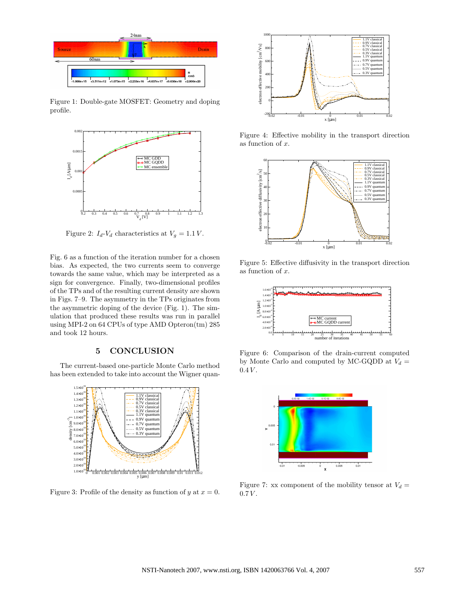

Figure 1: Double-gate MOSFET: Geometry and doping profile.



Figure 2:  $I_d$ - $V_d$  characteristics at  $V_g = 1.1 V$ .

Fig. 6 as a function of the iteration number for a chosen bias. As expected, the two currents seem to converge towards the same value, which may be interpreted as a sign for convergence. Finally, two-dimensional profiles of the TPs and of the resulting current density are shown in Figs. 7–9. The asymmetry in the TPs originates from the asymmetric doping of the device (Fig. 1). The simulation that produced these results was run in parallel using MPI-2 on 64 CPUs of type AMD Opteron(tm) 285 and took 12 hours.

## 5 CONCLUSION

The current-based one-particle Monte Carlo method has been extended to take into account the Wigner quan-



Figure 3: Profile of the density as function of y at  $x = 0$ .



Figure 4: Effective mobility in the transport direction as function of x.



Figure 5: Effective diffusivity in the transport direction as function of x.



Figure 6: Comparison of the drain-current computed by Monte Carlo and computed by MC-GQDD at  $V_d =$  $0.4 V.$ 



Figure 7: xx component of the mobility tensor at  $V_d =$  $0.7 V.$